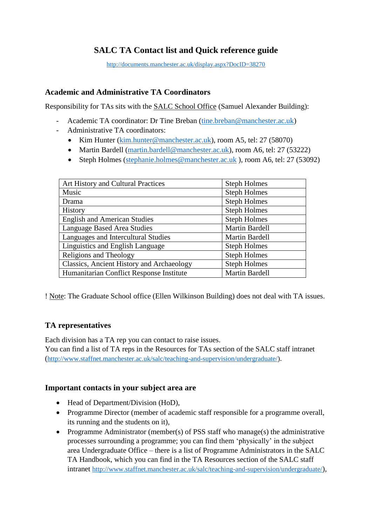# **SALC TA Contact list and Quick reference guide**

<http://documents.manchester.ac.uk/display.aspx?DocID=38270>

#### **Academic and Administrative TA Coordinators**

Responsibility for TAs sits with the SALC School Office (Samuel Alexander Building):

- Academic TA coordinator: Dr Tine Breban [\(tine.breban@manchester.ac.uk\)](mailto:tine.breban@manchester.ac.uk)
- Administrative TA coordinators:
	- Kim Hunter [\(kim.hunter@manchester.ac.uk\)](mailto:kim.hunter@manchester.ac.uk), room A5, tel: 27 (58070)
	- Martin Bardell [\(martin.bardell@manchester.ac.uk\)](mailto:martin.bardell@manchester.ac.uk), room A6, tel: 27 (53222)
	- Steph Holmes [\(stephanie.holmes@manchester.ac.uk](mailto:stephanie.holmes@manchester.ac.uk) ), room A6, tel: 27 (53092)

| Art History and Cultural Practices        | <b>Steph Holmes</b>   |
|-------------------------------------------|-----------------------|
| Music                                     | <b>Steph Holmes</b>   |
| Drama                                     | <b>Steph Holmes</b>   |
| <b>History</b>                            | <b>Steph Holmes</b>   |
| <b>English and American Studies</b>       | <b>Steph Holmes</b>   |
| Language Based Area Studies               | <b>Martin Bardell</b> |
| Languages and Intercultural Studies       | <b>Martin Bardell</b> |
| Linguistics and English Language          | <b>Steph Holmes</b>   |
| Religions and Theology                    | <b>Steph Holmes</b>   |
| Classics, Ancient History and Archaeology | <b>Steph Holmes</b>   |
| Humanitarian Conflict Response Institute  | <b>Martin Bardell</b> |

! Note: The Graduate School office (Ellen Wilkinson Building) does not deal with TA issues.

## **TA representatives**

Each division has a TA rep you can contact to raise issues.

You can find a list of TA reps in the Resources for TAs section of the SALC staff intranet ([http://www.staffnet.manchester.ac.uk/salc/teaching-and-supervision/undergraduate/\)](https://outlook.manchester.ac.uk/owa/redir.aspx?C=2igCGuk0ndMZvaS1lbY0Xp5FT9Bb3I08yvfGp6vEWeSPWFfUQBrWCA..&URL=http%3a%2f%2fwww.staffnet.manchester.ac.uk%2fsalc%2fteaching-and-supervision%2fundergraduate%2f).

## **Important contacts in your subject area are**

- Head of Department/Division (HoD),
- Programme Director (member of academic staff responsible for a programme overall, its running and the students on it),
- Programme Administrator (member(s) of PSS staff who manage(s) the administrative processes surrounding a programme; you can find them 'physically' in the subject area Undergraduate Office – there is a list of Programme Administrators in the SALC TA Handbook, which you can find in the TA Resources section of the SALC staff intranet [http://www.staffnet.manchester.ac.uk/salc/teaching-and-supervision/undergraduate/](https://outlook.manchester.ac.uk/owa/redir.aspx?C=2igCGuk0ndMZvaS1lbY0Xp5FT9Bb3I08yvfGp6vEWeSPWFfUQBrWCA..&URL=http%3a%2f%2fwww.staffnet.manchester.ac.uk%2fsalc%2fteaching-and-supervision%2fundergraduate%2f)),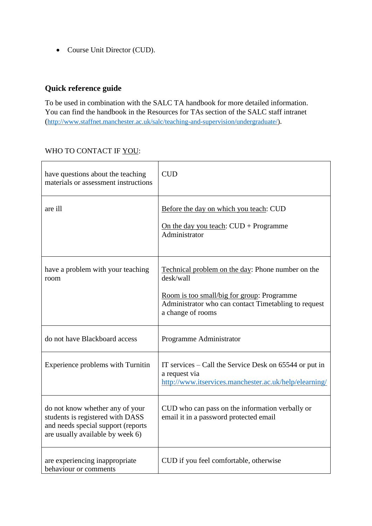• Course Unit Director (CUD).

# **Quick reference guide**

To be used in combination with the SALC TA handbook for more detailed information. You can find the handbook in the Resources for TAs section of the SALC staff intranet ([http://www.staffnet.manchester.ac.uk/salc/teaching-and-supervision/undergraduate/\)](https://outlook.manchester.ac.uk/owa/redir.aspx?C=2igCGuk0ndMZvaS1lbY0Xp5FT9Bb3I08yvfGp6vEWeSPWFfUQBrWCA..&URL=http%3a%2f%2fwww.staffnet.manchester.ac.uk%2fsalc%2fteaching-and-supervision%2fundergraduate%2f).

#### WHO TO CONTACT IF YOU:

| have questions about the teaching<br>materials or assessment instructions                                                                     | <b>CUD</b>                                                                                                                                                                                |
|-----------------------------------------------------------------------------------------------------------------------------------------------|-------------------------------------------------------------------------------------------------------------------------------------------------------------------------------------------|
| are ill                                                                                                                                       | Before the day on which you teach: CUD<br>On the day you teach: $CUD + Programme$<br>Administrator                                                                                        |
| have a problem with your teaching<br>room                                                                                                     | Technical problem on the day: Phone number on the<br>desk/wall<br>Room is too small/big for group: Programme<br>Administrator who can contact Timetabling to request<br>a change of rooms |
| do not have Blackboard access                                                                                                                 | Programme Administrator                                                                                                                                                                   |
| Experience problems with Turnitin                                                                                                             | IT services $-$ Call the Service Desk on 65544 or put in<br>a request via<br>http://www.itservices.manchester.ac.uk/help/elearning/                                                       |
| do not know whether any of your<br>students is registered with DASS<br>and needs special support (reports<br>are usually available by week 6) | CUD who can pass on the information verbally or<br>email it in a password protected email                                                                                                 |
| are experiencing inappropriate<br>behaviour or comments                                                                                       | CUD if you feel comfortable, otherwise                                                                                                                                                    |